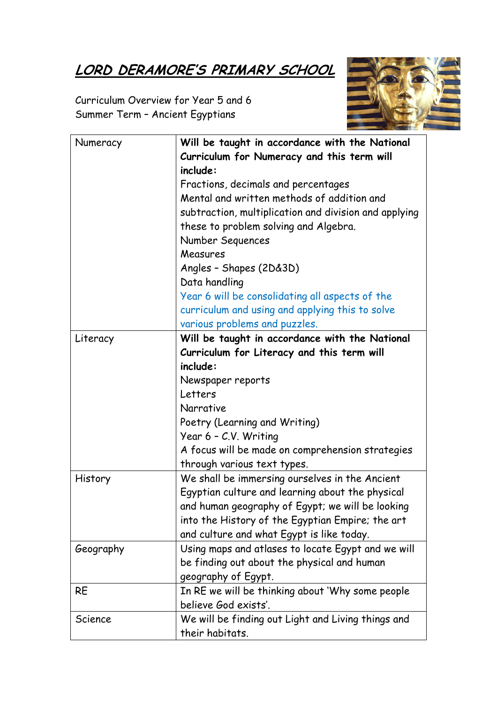## LORD DERAMORE'S PRIMARY SCHOOL

Curriculum Overview for Year 5 and 6 Summer Term – Ancient Egyptians

| Numeracy  | Will be taught in accordance with the National        |
|-----------|-------------------------------------------------------|
|           | Curriculum for Numeracy and this term will            |
|           | include:                                              |
|           | Fractions, decimals and percentages                   |
|           | Mental and written methods of addition and            |
|           | subtraction, multiplication and division and applying |
|           | these to problem solving and Algebra.                 |
|           | Number Sequences                                      |
|           | Measures                                              |
|           | Angles - Shapes (2D&3D)                               |
|           | Data handling                                         |
|           | Year 6 will be consolidating all aspects of the       |
|           | curriculum and using and applying this to solve       |
|           | various problems and puzzles.                         |
| Literacy  | Will be taught in accordance with the National        |
|           | Curriculum for Literacy and this term will            |
|           | include:                                              |
|           | Newspaper reports                                     |
|           | Letters                                               |
|           | Narrative                                             |
|           | Poetry (Learning and Writing)                         |
|           | Year 6 - C.V. Writing                                 |
|           | A focus will be made on comprehension strategies      |
|           | through various text types.                           |
| History   | We shall be immersing ourselves in the Ancient        |
|           | Egyptian culture and learning about the physical      |
|           | and human geography of Egypt; we will be looking      |
|           | into the History of the Egyptian Empire; the art      |
|           | and culture and what Egypt is like today.             |
| Geography | Using maps and atlases to locate Egypt and we will    |
|           | be finding out about the physical and human           |
|           | geography of Egypt.                                   |
| <b>RE</b> | In RE we will be thinking about 'Why some people      |
|           | believe God exists'.                                  |
| Science   | We will be finding out Light and Living things and    |
|           | their habitats.                                       |